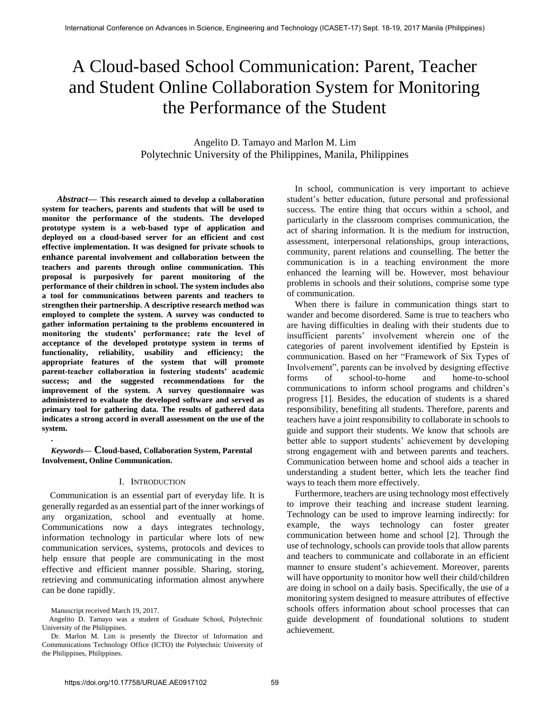# A Cloud-based School Communication: Parent, Teacher and Student Online Collaboration System for Monitoring the Performance of the Student

# Angelito D. Tamayo and Marlon M. Lim Polytechnic University of the Philippines, Manila, Philippines

 *Abstract***— This research aimed to develop a collaboration system for teachers, parents and students that will be used to monitor the performance of the students. The developed prototype system is a web-based type of application and deployed on a cloud-based server for an efficient and cost effective implementation. It was designed for private schools to enhance parental involvement and collaboration between the teachers and parents through online communication. This proposal is purposively for parent monitoring of the performance of their children in school. The system includes also a tool for communications between parents and teachers to strengthen their partnership. A descriptive research method was employed to complete the system. A survey was conducted to gather information pertaining to the problems encountered in monitoring the students' performance; rate the level of acceptance of the developed prototype system in terms of functionality, reliability, usability and efficiency; the appropriate features of the system that will promote parent-teacher collaboration in fostering students' academic success; and the suggested recommendations for the improvement of the system. A survey questionnaire was administered to evaluate the developed software and served as primary tool for gathering data. The results of gathered data indicates a strong accord in overall assessment on the use of the system.**

## *Keywords***— Cloud-based, Collaboration System, Parental Involvement, Online Communication.**

### I. INTRODUCTION

Communication is an essential part of everyday life. It is generally regarded as an essential part of the inner workings of any organization, school and eventually at home. Communications now a days integrates technology, information technology in particular where lots of new communication services, systems, protocols and devices to help ensure that people are communicating in the most effective and efficient manner possible. Sharing, storing, retrieving and communicating information almost anywhere can be done rapidly.

**.**

In school, communication is very important to achieve student's better education, future personal and professional success. The entire thing that occurs within a school, and particularly in the classroom comprises communication, the act of sharing information. It is the medium for instruction, assessment, interpersonal relationships, group interactions, community, parent relations and counselling. The better the communication is in a teaching environment the more enhanced the learning will be. However, most behaviour problems in schools and their solutions, comprise some type of communication.

When there is failure in communication things start to wander and become disordered. Same is true to teachers who are having difficulties in dealing with their students due to insufficient parents' involvement wherein one of the categories of parent involvement identified by Epstein is communication. Based on her "Framework of Six Types of Involvement", parents can be involved by designing effective forms of school-to-home and home-to-school communications to inform school programs and children's progress [1]. Besides, the education of students is a shared responsibility, benefiting all students. Therefore, parents and teachers have a joint responsibility to collaborate in schools to guide and support their students. We know that schools are better able to support students' achievement by developing strong engagement with and between parents and teachers. Communication between home and school aids a teacher in understanding a student better, which lets the teacher find ways to teach them more effectively.

Furthermore, teachers are using technology most effectively to improve their teaching and increase student learning. Technology can be used to improve learning indirectly: for example, the ways technology can foster greater communication between home and school [2]. Through the use of technology, schools can provide tools that allow parents and teachers to communicate and collaborate in an efficient manner to ensure student's achievement. Moreover, parents will have opportunity to monitor how well their child/children are doing in school on a daily basis. Specifically, the use of a monitoring system designed to measure attributes of effective schools offers information about school processes that can guide development of foundational solutions to student achievement.

Manuscript received March 19, 2017.

Angelito D. Tamayo was a student of Graduate School, Polytechnic University of the Philippines.

Dr. Marlon M. Lim is presently the Director of Information and Communications Technology Office (ICTO) the Polytechnic University of the Philippines, Philippines.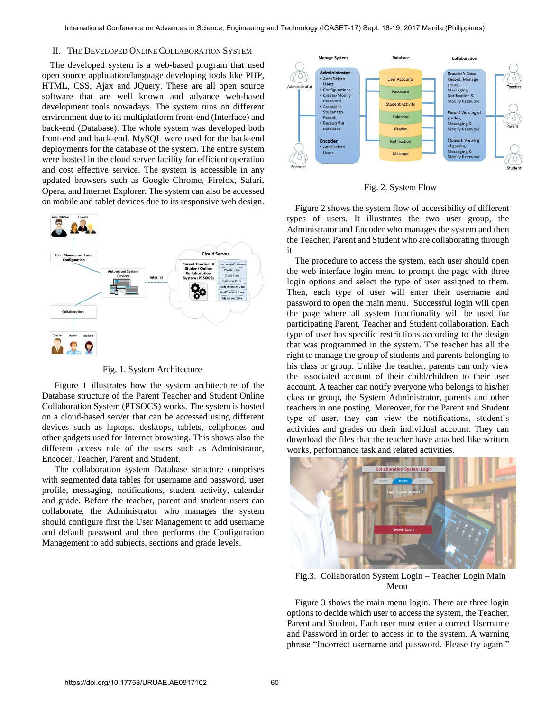# II. THE DEVELOPED ONLINE COLLABORATION SYSTEM

The developed system is a web-based program that used open source application/language developing tools like PHP, HTML, CSS, Ajax and JQuery. These are all open source software that are well known and advance web-based development tools nowadays. The system runs on different environment due to its multiplatform front-end (Interface) and back-end (Database). The whole system was developed both front-end and back-end. MySQL were used for the back-end deployments for the database of the system. The entire system were hosted in the cloud server facility for efficient operation and cost effective service. The system is accessible in any updated browsers such as Google Chrome, Firefox, Safari, Opera, and Internet Explorer. The system can also be accessed on mobile and tablet devices due to its responsive web design.



Fig. 1. System Architecture

 Figure 1 illustrates how the system architecture of the Database structure of the Parent Teacher and Student Online Collaboration System (PTSOCS) works. The system is hosted on a cloud-based server that can be accessed using different devices such as laptops, desktops, tablets, cellphones and other gadgets used for Internet browsing. This shows also the different access role of the users such as Administrator, Encoder, Teacher, Parent and Student.

 The collaboration system Database structure comprises with segmented data tables for username and password, user profile, messaging, notifications, student activity, calendar and grade. Before the teacher, parent and student users can collaborate, the Administrator who manages the system should configure first the User Management to add username and default password and then performs the Configuration Management to add subjects, sections and grade levels.



Fig. 2. System Flow

Figure 2 shows the system flow of accessibility of different types of users. It illustrates the two user group, the Administrator and Encoder who manages the system and then the Teacher, Parent and Student who are collaborating through it.

The procedure to access the system, each user should open the web interface login menu to prompt the page with three login options and select the type of user assigned to them. Then, each type of user will enter their username and password to open the main menu. Successful login will open the page where all system functionality will be used for participating Parent, Teacher and Student collaboration. Each type of user has specific restrictions according to the design that was programmed in the system. The teacher has all the right to manage the group of students and parents belonging to his class or group. Unlike the teacher, parents can only view the associated account of their child/children to their user account. A teacher can notify everyone who belongs to his/her class or group, the System Administrator, parents and other teachers in one posting. Moreover, for the Parent and Student type of user, they can view the notifications, student's activities and grades on their individual account. They can download the files that the teacher have attached like written works, performance task and related activities.



Fig.3. Collaboration System Login – Teacher Login Main Menu

Figure 3 shows the main menu login. There are three login options to decide which user to access the system, the Teacher, Parent and Student. Each user must enter a correct Username and Password in order to access in to the system. A warning phrase "Incorrect username and password. Please try again."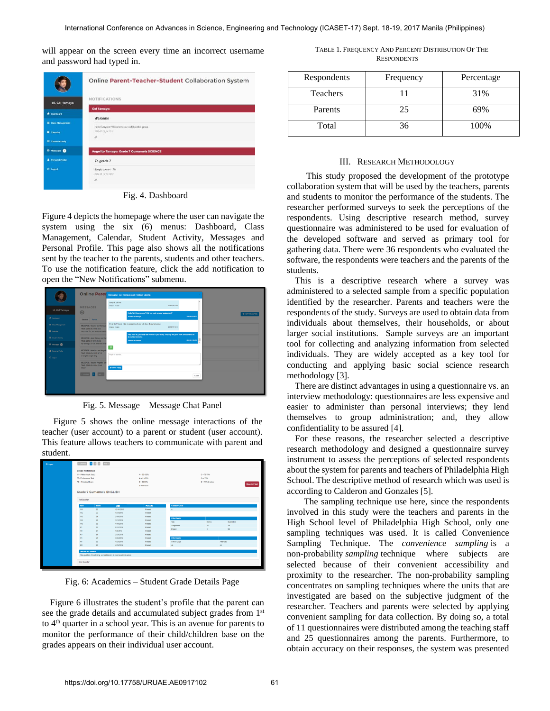will appear on the screen every time an incorrect username and password had typed in.

|                                     | Online Parent-Teacher-Student Collaboration System |
|-------------------------------------|----------------------------------------------------|
| Hi, Cel Tamayo                      | <b>NOTIFICATIONS</b>                               |
|                                     | <b>Gel Tamayo:</b>                                 |
| <b>ft</b> Dashboard                 | Welcome                                            |
| Class Management                    | Helio Everyonel Welcome to our collaboration group |
| <b>E</b> Calendar                   | 2016-07-21 14:32 11                                |
| <b>Ell</b> Student Activity         | n                                                  |
| <sup>th</sup> Mossages <sup>6</sup> | Angelito Tamayo: Grade 7 Gumamela SCIENCE          |
| 2. Personal Profile                 | To grade 7                                         |
| <b>O</b> Logout                     | Sample content - Tin                               |
|                                     | 2016-05-16:14:48:57                                |
|                                     | $\mathcal{Q}$                                      |

Fig. 4. Dashboard

Figure 4 depicts the homepage where the user can navigate the system using the six (6) menus: Dashboard, Class Management, Calendar, Student Activity, Messages and Personal Profile. This page also shows all the notifications sent by the teacher to the parents, students and other teachers. To use the notification feature, click the add notification to open the "New Notifications" submenu.

|                                                         |                                                                   | <b>Online Paret</b> Message: Get Tamayo and Kristine Valerio                                                |                                      | $\overline{a}$ |               |
|---------------------------------------------------------|-------------------------------------------------------------------|-------------------------------------------------------------------------------------------------------------|--------------------------------------|----------------|---------------|
| Hi, Cel Tamayo                                          | <b>MESSAGES</b>                                                   | sony six did not<br><b>Kratina Valence</b>                                                                  | 2016/07/05 12:00:5                   |                |               |
| <b>R</b> Decreased                                      | 0                                                                 | Hello Tin! How are you? Did you work on your assignment?<br><b>Teacher Ont Tamaye</b>                       | 20600-012023                         |                | + NEW MESSAGE |
| Cass Management                                         | Student Parent<br>MESSAGE: Teacher Gel Tamaya                     | Hi sir Gell Yes sir, I did my assignment and will show it you tomorous.                                     |                                      |                |               |
| <b>III</b> Colorador                                    | TIME: 2016-08-19 10:4:33<br>Very nice Tin, you really are serior  | Kraina Valenti<br>Very nice Tin, you mally are serious in your study. Keep up the good work and continue to | 2010/05/18 12:141                    |                |               |
| <b>III</b> Student Activity                             | MESSAGE: Jenic Ramsy and Gel<br>TIME: 2016-07-29 7:45:32          | show kind behavior.<br><b>Teacher Get Tamzys</b>                                                            | <b><i><u><b>ELECTRON</b></u></i></b> |                |               |
| <b>C</b> Hosseyn <b>@</b><br><b>A.</b> Personal Profits | My apology Sir Gell We had an all<br>MESSAGE: Addel Vs and Angeli | $\circ$                                                                                                     |                                      |                |               |
| O Legist                                                | TIME: 2016-05-19 17:47:10<br>or angels burger lang                | Reply to sender                                                                                             |                                      |                |               |
|                                                         | <b>MESSAGE: Teacher Angello Tam</b><br>TIME: 2016-05-19 14:25:48  | Send Reply                                                                                                  |                                      |                |               |
|                                                         | rest<br><b>Part of</b>                                            |                                                                                                             |                                      | Close          |               |
|                                                         |                                                                   |                                                                                                             |                                      |                |               |
|                                                         |                                                                   |                                                                                                             |                                      |                |               |
|                                                         |                                                                   |                                                                                                             |                                      |                |               |

Fig. 5. Message – Message Chat Panel

 Figure 5 shows the online message interactions of the teacher (user account) to a parent or student (user account). This feature allows teachers to communicate with parent and student.

| <b>Grade Reference</b><br>W., William Work (Ouiz)<br>PT - Performance Tosk |                          |            | $A = 96,900\%$<br>$A = 91.85\%$      |                      | $C = 76,79%$<br>$C - 75%$ |                  |                         |
|----------------------------------------------------------------------------|--------------------------|------------|--------------------------------------|----------------------|---------------------------|------------------|-------------------------|
| PE - Periodical Exam                                                       |                          |            | $B = 86.00\%$<br>$B_1 = 0.5, 0.5, 5$ |                      | $D = 74\%$ & below        |                  | <b>View &amp; Print</b> |
|                                                                            | Grade 7 Gumamela ENGLISH |            |                                      |                      |                           |                  |                         |
| 1st Quarter                                                                |                          | Date       |                                      | <b>Conduct Grade</b> |                           |                  |                         |
| <b>Best</b><br>WI                                                          | Score<br>83              | 12/11/2015 | <b>BEENING</b><br>Passed             | ×                    |                           |                  |                         |
| W2                                                                         | 90                       | 1/21/2014  | Passed                               |                      |                           |                  |                         |
| W3                                                                         | 91                       | 2/19/2016  | Passed                               |                      |                           |                  |                         |
| Wil                                                                        | 94                       | 3/21/2016  | Passed                               | <b>Effort Grade</b>  |                           |                  |                         |
| ws                                                                         | 93                       | 418/2014   | Passed                               | Tirsk                | Beesly                    | Submitted        |                         |
| P1                                                                         | R5                       | 9/12/2016  | Passed                               | Assignment           | 10                        | 10               |                         |
| P <sub>2</sub>                                                             | 87                       | 125/216    | Passed                               | Project              | ×.                        | 25               |                         |
| P3                                                                         | 91                       | 2/25/2016  | Passed                               |                      |                           |                  |                         |
| P <sub>0</sub>                                                             | 94                       | 3262016    | Passed                               | <b>Effort Grade</b>  |                           |                  |                         |
| p <sub>5</sub>                                                             | os.                      | 4/23/2014  | Passed                               | School Days          |                           | <b>Iltervied</b> |                         |
| PE                                                                         | 63                       | 425/2016   | Passed                               | 45                   |                           | 44               |                         |

Fig. 6: Academics – Student Grade Details Page

Figure 6 illustrates the student's profile that the parent can see the grade details and accumulated subject grades from 1<sup>st</sup> to 4th quarter in a school year. This is an avenue for parents to monitor the performance of their child/children base on the grades appears on their individual user account.

TABLE 1. FREQUENCY AND PERCENT DISTRIBUTION OF THE **RESPONDENTS** 

| Respondents | Frequency | Percentage |
|-------------|-----------|------------|
| Teachers    |           | 31%        |
| Parents     | 25        | 69%        |
| Total       | 36        | 100%       |

#### III. RESEARCH METHODOLOGY

 This study proposed the development of the prototype collaboration system that will be used by the teachers, parents and students to monitor the performance of the students. The researcher performed surveys to seek the perceptions of the respondents. Using descriptive research method, survey questionnaire was administered to be used for evaluation of the developed software and served as primary tool for gathering data. There were 36 respondents who evaluated the software, the respondents were teachers and the parents of the students.

This is a descriptive research where a survey was administered to a selected sample from a specific population identified by the researcher. Parents and teachers were the respondents of the study. Surveys are used to obtain data from individuals about themselves, their households, or about larger social institutions. Sample surveys are an important tool for collecting and analyzing information from selected individuals. They are widely accepted as a key tool for conducting and applying basic social science research methodology [3].

There are distinct advantages in using a questionnaire vs. an interview methodology: questionnaires are less expensive and easier to administer than personal interviews; they lend themselves to group administration; and, they allow confidentiality to be assured [4].

For these reasons, the researcher selected a descriptive research methodology and designed a questionnaire survey instrument to assess the perceptions of selected respondents about the system for parents and teachers of Philadelphia High School. The descriptive method of research which was used is according to Calderon and Gonzales [5].

 The sampling technique use here, since the respondents involved in this study were the teachers and parents in the High School level of Philadelphia High School, only one sampling techniques was used. It is called Convenience Sampling Technique. The *convenience sampling* is a non-probability *sampling* technique where subjects are selected because of their convenient accessibility and proximity to the researcher. The non-probability sampling concentrates on sampling techniques where the units that are investigated are based on the subjective judgment of the researcher. Teachers and parents were selected by applying convenient sampling for data collection. By doing so, a total of 11 questionnaires were distributed among the teaching staff and 25 questionnaires among the parents. Furthermore, to obtain accuracy on their responses, the system was presented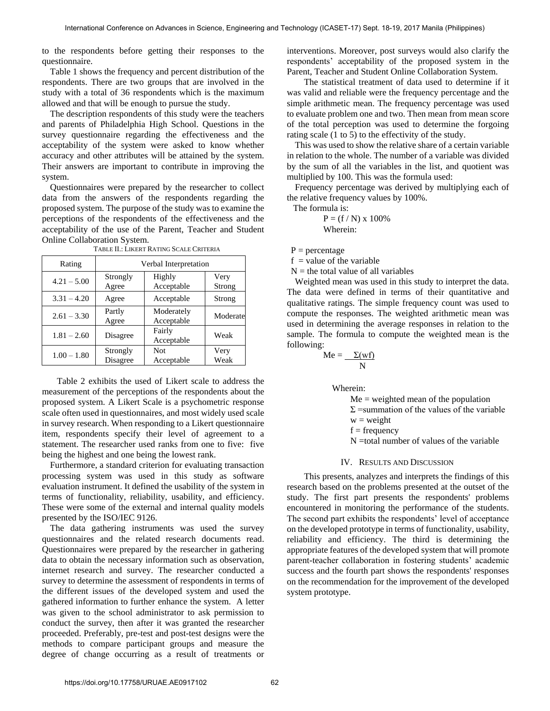to the respondents before getting their responses to the questionnaire.

Table 1 shows the frequency and percent distribution of the respondents. There are two groups that are involved in the study with a total of 36 respondents which is the maximum allowed and that will be enough to pursue the study.

The description respondents of this study were the teachers and parents of Philadelphia High School. Questions in the survey questionnaire regarding the effectiveness and the acceptability of the system were asked to know whether accuracy and other attributes will be attained by the system. Their answers are important to contribute in improving the system.

Questionnaires were prepared by the researcher to collect data from the answers of the respondents regarding the proposed system. The purpose of the study was to examine the perceptions of the respondents of the effectiveness and the acceptability of the use of the Parent, Teacher and Student Online Collaboration System.

| Rating        | Verbal Interpretation |                          |                |  |  |
|---------------|-----------------------|--------------------------|----------------|--|--|
| $4.21 - 5.00$ | Strongly<br>Agree     | Highly<br>Acceptable     | Very<br>Strong |  |  |
| $3.31 - 4.20$ | Agree                 | Acceptable               | Strong         |  |  |
| $2.61 - 3.30$ | Partly<br>Agree       | Moderately<br>Acceptable | Moderate       |  |  |
| $1.81 - 2.60$ | Disagree              | Fairly<br>Acceptable     | Weak           |  |  |
| $1.00 - 1.80$ | Strongly<br>Disagree  | <b>Not</b><br>Acceptable | Very<br>Weak   |  |  |

TABLE II.: LIKERT RATING SCALE CRITERIA

 Table 2 exhibits the used of Likert scale to address the measurement of the perceptions of the respondents about the proposed system. A Likert Scale is a psychometric response scale often used in questionnaires, and most widely used scale in survey research. When responding to a Likert questionnaire item, respondents specify their level of agreement to a statement. The researcher used ranks from one to five: five being the highest and one being the lowest rank.

Furthermore, a standard criterion for evaluating transaction processing system was used in this study as software evaluation instrument. It defined the usability of the system in terms of functionality, reliability, usability, and efficiency. These were some of the external and internal quality models presented by the ISO/IEC 9126.

The data gathering instruments was used the survey questionnaires and the related research documents read. Questionnaires were prepared by the researcher in gathering data to obtain the necessary information such as observation, internet research and survey. The researcher conducted a survey to determine the assessment of respondents in terms of the different issues of the developed system and used the gathered information to further enhance the system. A letter was given to the school administrator to ask permission to conduct the survey, then after it was granted the researcher proceeded. Preferably, pre-test and post-test designs were the methods to compare participant groups and measure the degree of change occurring as a result of treatments or interventions. Moreover, post surveys would also clarify the respondents' acceptability of the proposed system in the Parent, Teacher and Student Online Collaboration System.

The statistical treatment of data used to determine if it was valid and reliable were the frequency percentage and the simple arithmetic mean. The frequency percentage was used to evaluate problem one and two. Then mean from mean score of the total perception was used to determine the forgoing rating scale (1 to 5) to the effectivity of the study.

This was used to show the relative share of a certain variable in relation to the whole. The number of a variable was divided by the sum of all the variables in the list, and quotient was multiplied by 100. This was the formula used:

Frequency percentage was derived by multiplying each of the relative frequency values by 100%.

The formula is:

 $P = (f / N) \times 100\%$ Wherein:

 $P = percentage$ 

 $f =$  value of the variable

 $N =$  the total value of all variables

Weighted mean was used in this study to interpret the data. The data were defined in terms of their quantitative and qualitative ratings. The simple frequency count was used to compute the responses. The weighted arithmetic mean was used in determining the average responses in relation to the sample. The formula to compute the weighted mean is the following:

$$
Me = \frac{\Sigma(wf)}{N}
$$

Wherein:

 $Me = weighted$  mean of the population

 $\Sigma$  =summation of the values of the variable

 $w = weight$ 

 $f = frequency$ 

N =total number of values of the variable

#### IV. RESULTS AND DISCUSSION

 This presents, analyzes and interprets the findings of this research based on the problems presented at the outset of the study. The first part presents the respondents' problems encountered in monitoring the performance of the students. The second part exhibits the respondents' level of acceptance on the developed prototype in terms of functionality, usability, reliability and efficiency. The third is determining the appropriate features of the developed system that will promote parent-teacher collaboration in fostering students' academic success and the fourth part shows the respondents' responses on the recommendation for the improvement of the developed system prototype.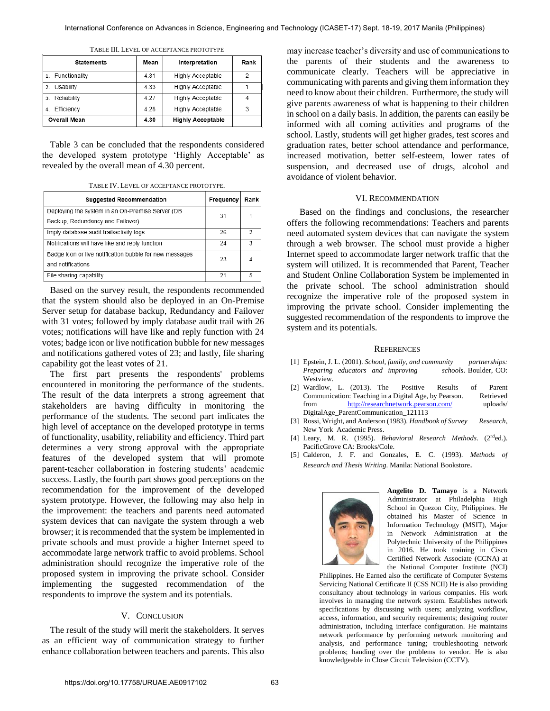| Statements          | Mean | Interpretation           | Rank |
|---------------------|------|--------------------------|------|
| Functionality       | 4.31 | Highly Acceptable        | 2    |
| Usability<br>2.     | 4.33 | Highly Acceptable        |      |
| Reliability<br>3.   | 4.27 | Highly Acceptable        | 4    |
| Efficiency<br>4.    | 4 28 | Highly Acceptable        | 3    |
| <b>Overall Mean</b> | 4.30 | <b>Highly Acceptable</b> |      |

TABLE III. LEVEL OF ACCEPTANCE PROTOTYPE

Table 3 can be concluded that the respondents considered the developed system prototype 'Highly Acceptable' as revealed by the overall mean of 4.30 percent.

TABLE IV. LEVEL OF ACCEPTANCE PROTOTYPE.

| <b>Suggested Recommendation</b>                                                      | Frequency | Rank |
|--------------------------------------------------------------------------------------|-----------|------|
| Deploying the system in an On-Premise Server (DB<br>Backup, Redundancy and Failover) | 31        | 1    |
| Imply database audit trail/activity logs                                             | 26        | 2    |
| Notifications will have like and reply function                                      | 24        | З    |
| Badge icon or live notification bubble for new messages<br>and notifications         | 23        | 4    |
| File sharing capability                                                              | 21        | 5    |

Based on the survey result, the respondents recommended that the system should also be deployed in an On-Premise Server setup for database backup, Redundancy and Failover with 31 votes; followed by imply database audit trail with 26 votes; notifications will have like and reply function with 24 votes; badge icon or live notification bubble for new messages and notifications gathered votes of 23; and lastly, file sharing capability got the least votes of 21.

The first part presents the respondents' problems encountered in monitoring the performance of the students. The result of the data interprets a strong agreement that stakeholders are having difficulty in monitoring the performance of the students. The second part indicates the high level of acceptance on the developed prototype in terms of functionality, usability, reliability and efficiency. Third part determines a very strong approval with the appropriate features of the developed system that will promote parent-teacher collaboration in fostering students' academic success. Lastly, the fourth part shows good perceptions on the recommendation for the improvement of the developed system prototype. However, the following may also help in the improvement: the teachers and parents need automated system devices that can navigate the system through a web browser; it is recommended that the system be implemented in private schools and must provide a higher Internet speed to accommodate large network traffic to avoid problems. School administration should recognize the imperative role of the proposed system in improving the private school. Consider implementing the suggested recommendation of the respondents to improve the system and its potentials.

#### V. CONCLUSION

The result of the study will merit the stakeholders. It serves as an efficient way of communication strategy to further enhance collaboration between teachers and parents. This also

may increase teacher's diversity and use of communications to the parents of their students and the awareness to communicate clearly. Teachers will be appreciative in communicating with parents and giving them information they need to know about their children. Furthermore, the study will give parents awareness of what is happening to their children in school on a daily basis. In addition, the parents can easily be informed with all coming activities and programs of the school. Lastly, students will get higher grades, test scores and graduation rates, better school attendance and performance, increased motivation, better self-esteem, lower rates of suspension, and decreased use of drugs, alcohol and avoidance of violent behavior.

#### VI. RECOMMENDATION

 Based on the findings and conclusions, the researcher offers the following recommendations: Teachers and parents need automated system devices that can navigate the system through a web browser. The school must provide a higher Internet speed to accommodate larger network traffic that the system will utilized. It is recommended that Parent, Teacher and Student Online Collaboration System be implemented in the private school. The school administration should recognize the imperative role of the proposed system in improving the private school. Consider implementing the suggested recommendation of the respondents to improve the system and its potentials.

#### **REFERENCES**

- [1] Epstein, J. L. (2001). *School, family, and community partnerships: Preparing educators and improving schools*. Boulder, CO: Westview.
- [2] Wardlow, L. (2013). The Positive Results of Parent Communication: Teaching in a Digital Age, by Pearson. Retrieved from <http://researchnetwork.pearson.com/> uploads/ DigitalAge\_ParentCommunication\_121113
- [3] Rossi, Wright, and Anderson (1983). *Handbook of Survey Research*, New York Academic Press.
- [4] Leary, M. R. (1995). *Behavioral Research Methods*. (2<sup>nd</sup>ed.). PacificGrove CA: Brooks/Cole.
- [5] Calderon, J. F. and Gonzales, E. C. (1993). *Methods of Research and Thesis Writing*. Manila: National Bookstore.



**Angelito D. Tamayo** is a Network Administrator at Philadelphia High School in Quezon City, Philippines. He obtained his Master of Science in Information Technology (MSIT), Major in Network Administration at the Polytechnic University of the Philippines in 2016. He took training in Cisco Certified Network Associate (CCNA) at the National Computer Institute (NCI)

Philippines. He Earned also the certificate of Computer Systems Servicing National Certificate II (CSS NCII) He is also providing consultancy about technology in various companies. His work involves in managing the network system. Establishes network specifications by discussing with users; analyzing workflow, access, information, and security requirements; designing router administration, including interface configuration. He maintains network performance by performing network monitoring and analysis, and performance tuning; troubleshooting network problems; handing over the problems to vendor. He is also knowledgeable in Close Circuit Television (CCTV).